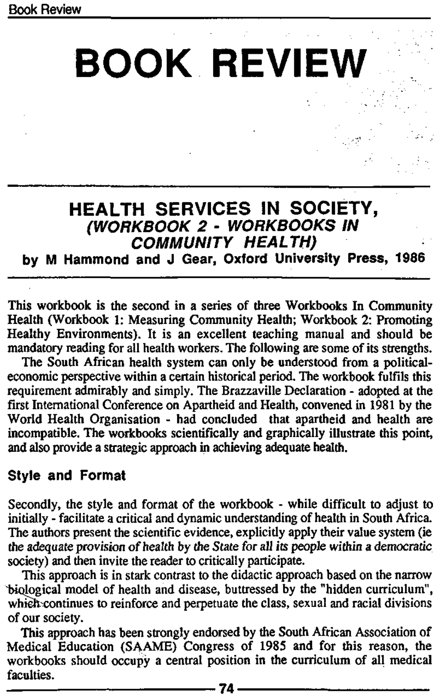**BOOK REVIEW** 

## **HEALTH SERVICES IN SOCIETY,**  (WORKBOOK 2 - WORKBOOKS IN COMMUNITY HEALTH)

**by M Hammond and J Gear, Oxford University Press, 1986** 

This workbook is the second in a series of three Workbooks In Community Health (Workbook 1: Measuring Community Health; Workbook 2: Promoting Healthy Environments). It is an excellent teaching manual and should be mandatory reading for all health workers. The following are some of its strengths.

The South African health system can only be understood from a politicaleconomic perspective within a certain historical period. The workbook fulfils this requirement admirably and simply. The Brazzaville Declaration - adopted at the first International Conference on Apartheid and Health, convened in 1981 by the World Health Organisation - had concluded that apartheid and health are incompatible. The workbooks scientifically and graphically illustrate this point, and also provide a strategic approach in achieving adequate health.

**Style and Format** 

Secondly, the style and format of the workbook - while difficult to adjust to initially - facilitate a critical and dynamic understanding of health in South Africa. The authors present the scientific evidence, explicitly apply their value system (ie the adequate provision of health by the State for all its people within a democratic society) and then invite the reader to critically participate.

This approach is in stark contrast to the didactic approach based on the narrow biological model of health and disease, buttressed by the "hidden curriculum", which continues to reinforce and perpetuate the class, sexual and racial divisions of our society.

This approach has been strongly endorsed by the South African Association of Medical Education (SAAME) Congress of 1985 and for this reason, the workbooks should occupy a central position in the curriculum of all medical faculties.